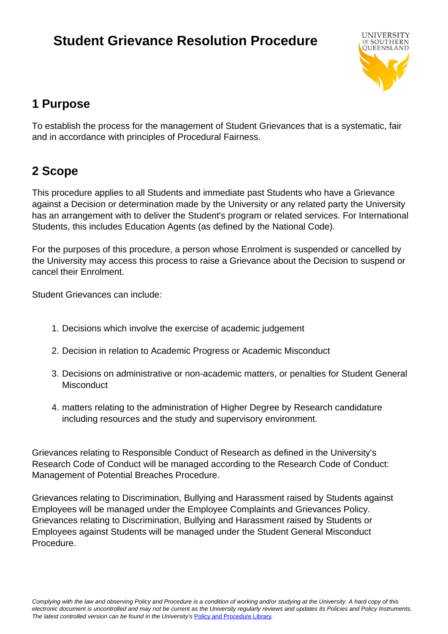# **Student Grievance Resolution Procedure**



# **1 Purpose**

To establish the process for the management of Student Grievances that is a systematic, fair and in accordance with principles of Procedural Fairness.

# **2 Scope**

This procedure applies to all Students and immediate past Students who have a Grievance against a Decision or determination made by the University or any related party the University has an arrangement with to deliver the Student's program or related services. For International Students, this includes Education Agents (as defined by the National Code).

For the purposes of this procedure, a person whose Enrolment is suspended or cancelled by the University may access this process to raise a Grievance about the Decision to suspend or cancel their Enrolment.

Student Grievances can include:

- 1. Decisions which involve the exercise of academic judgement
- 2. Decision in relation to Academic Progress or Academic Misconduct
- 3. Decisions on administrative or non-academic matters, or penalties for Student General **Misconduct**
- 4. matters relating to the administration of Higher Degree by Research candidature including resources and the study and supervisory environment.

Grievances relating to Responsible Conduct of Research as defined in the University's Research Code of Conduct will be managed according to the Research Code of Conduct: Management of Potential Breaches Procedure.

Grievances relating to Discrimination, Bullying and Harassment raised by Students against Employees will be managed under the Employee Complaints and Grievances Policy. Grievances relating to Discrimination, Bullying and Harassment raised by Students or Employees against Students will be managed under the Student General Misconduct Procedure.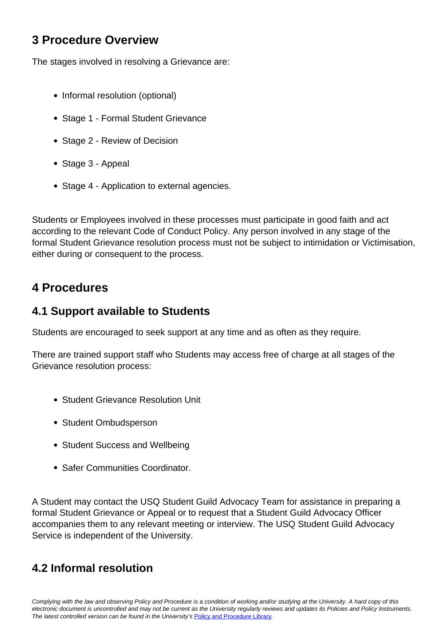# **3 Procedure Overview**

The stages involved in resolving a Grievance are:

- Informal resolution (optional)
- Stage 1 Formal Student Grievance
- Stage 2 Review of Decision
- Stage 3 Appeal
- Stage 4 Application to external agencies.

Students or Employees involved in these processes must participate in good faith and act according to the relevant Code of Conduct Policy. Any person involved in any stage of the formal Student Grievance resolution process must not be subject to intimidation or Victimisation, either during or consequent to the process.

# **4 Procedures**

# **4.1 Support available to Students**

Students are encouraged to seek support at any time and as often as they require.

There are trained support staff who Students may access free of charge at all stages of the Grievance resolution process:

- Student Grievance Resolution Unit
- Student Ombudsperson
- Student Success and Wellbeing
- Safer Communities Coordinator.

A Student may contact the USQ Student Guild Advocacy Team for assistance in preparing a formal Student Grievance or Appeal or to request that a Student Guild Advocacy Officer accompanies them to any relevant meeting or interview. The USQ Student Guild Advocacy Service is independent of the University.

# **4.2 Informal resolution**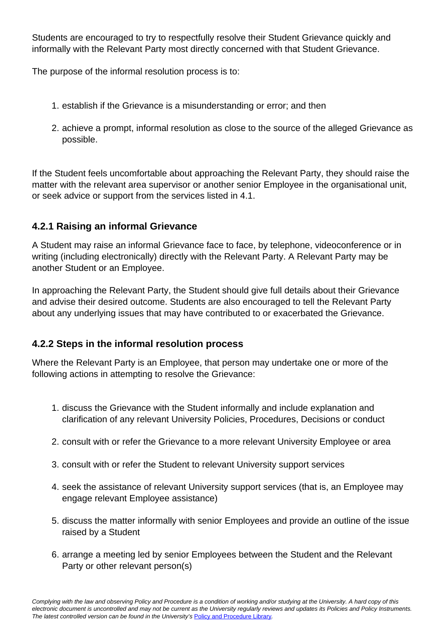Students are encouraged to try to respectfully resolve their Student Grievance quickly and informally with the Relevant Party most directly concerned with that Student Grievance.

The purpose of the informal resolution process is to:

- 1. establish if the Grievance is a misunderstanding or error; and then
- 2. achieve a prompt, informal resolution as close to the source of the alleged Grievance as possible.

If the Student feels uncomfortable about approaching the Relevant Party, they should raise the matter with the relevant area supervisor or another senior Employee in the organisational unit, or seek advice or support from the services listed in 4.1.

# **4.2.1 Raising an informal Grievance**

A Student may raise an informal Grievance face to face, by telephone, videoconference or in writing (including electronically) directly with the Relevant Party. A Relevant Party may be another Student or an Employee.

In approaching the Relevant Party, the Student should give full details about their Grievance and advise their desired outcome. Students are also encouraged to tell the Relevant Party about any underlying issues that may have contributed to or exacerbated the Grievance.

# **4.2.2 Steps in the informal resolution process**

Where the Relevant Party is an Employee, that person may undertake one or more of the following actions in attempting to resolve the Grievance:

- 1. discuss the Grievance with the Student informally and include explanation and clarification of any relevant University Policies, Procedures, Decisions or conduct
- 2. consult with or refer the Grievance to a more relevant University Employee or area
- 3. consult with or refer the Student to relevant University support services
- 4. seek the assistance of relevant University support services (that is, an Employee may engage relevant Employee assistance)
- 5. discuss the matter informally with senior Employees and provide an outline of the issue raised by a Student
- 6. arrange a meeting led by senior Employees between the Student and the Relevant Party or other relevant person(s)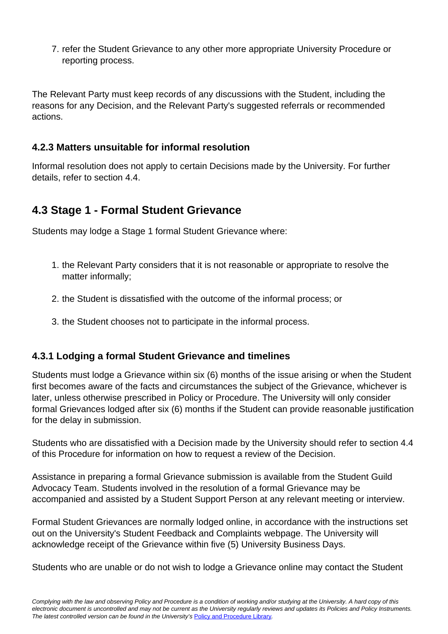7. refer the Student Grievance to any other more appropriate University Procedure or reporting process.

The Relevant Party must keep records of any discussions with the Student, including the reasons for any Decision, and the Relevant Party's suggested referrals or recommended actions.

# **4.2.3 Matters unsuitable for informal resolution**

Informal resolution does not apply to certain Decisions made by the University. For further details, refer to section 4.4.

# **4.3 Stage 1 - Formal Student Grievance**

Students may lodge a Stage 1 formal Student Grievance where:

- 1. the Relevant Party considers that it is not reasonable or appropriate to resolve the matter informally;
- 2. the Student is dissatisfied with the outcome of the informal process; or
- 3. the Student chooses not to participate in the informal process.

# **4.3.1 Lodging a formal Student Grievance and timelines**

Students must lodge a Grievance within six (6) months of the issue arising or when the Student first becomes aware of the facts and circumstances the subject of the Grievance, whichever is later, unless otherwise prescribed in Policy or Procedure. The University will only consider formal Grievances lodged after six (6) months if the Student can provide reasonable justification for the delay in submission.

Students who are dissatisfied with a Decision made by the University should refer to section 4.4 of this Procedure for information on how to request a review of the Decision.

Assistance in preparing a formal Grievance submission is available from the Student Guild Advocacy Team. Students involved in the resolution of a formal Grievance may be accompanied and assisted by a Student Support Person at any relevant meeting or interview.

Formal Student Grievances are normally lodged online, in accordance with the instructions set out on the University's Student Feedback and Complaints webpage. The University will acknowledge receipt of the Grievance within five (5) University Business Days.

Students who are unable or do not wish to lodge a Grievance online may contact the Student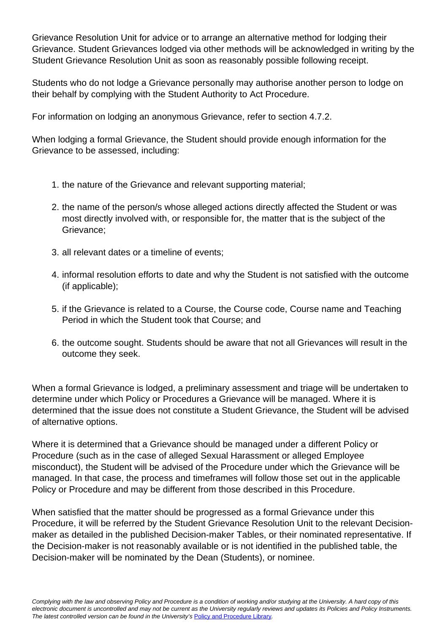Grievance Resolution Unit for advice or to arrange an alternative method for lodging their Grievance. Student Grievances lodged via other methods will be acknowledged in writing by the Student Grievance Resolution Unit as soon as reasonably possible following receipt.

Students who do not lodge a Grievance personally may authorise another person to lodge on their behalf by complying with the Student Authority to Act Procedure.

For information on lodging an anonymous Grievance, refer to section 4.7.2.

When lodging a formal Grievance, the Student should provide enough information for the Grievance to be assessed, including:

- 1. the nature of the Grievance and relevant supporting material;
- 2. the name of the person/s whose alleged actions directly affected the Student or was most directly involved with, or responsible for, the matter that is the subject of the Grievance;
- 3. all relevant dates or a timeline of events;
- 4. informal resolution efforts to date and why the Student is not satisfied with the outcome (if applicable);
- 5. if the Grievance is related to a Course, the Course code, Course name and Teaching Period in which the Student took that Course; and
- 6. the outcome sought. Students should be aware that not all Grievances will result in the outcome they seek.

When a formal Grievance is lodged, a preliminary assessment and triage will be undertaken to determine under which Policy or Procedures a Grievance will be managed. Where it is determined that the issue does not constitute a Student Grievance, the Student will be advised of alternative options.

Where it is determined that a Grievance should be managed under a different Policy or Procedure (such as in the case of alleged Sexual Harassment or alleged Employee misconduct), the Student will be advised of the Procedure under which the Grievance will be managed. In that case, the process and timeframes will follow those set out in the applicable Policy or Procedure and may be different from those described in this Procedure.

When satisfied that the matter should be progressed as a formal Grievance under this Procedure, it will be referred by the Student Grievance Resolution Unit to the relevant Decisionmaker as detailed in the published Decision-maker Tables, or their nominated representative. If the Decision-maker is not reasonably available or is not identified in the published table, the Decision-maker will be nominated by the Dean (Students), or nominee.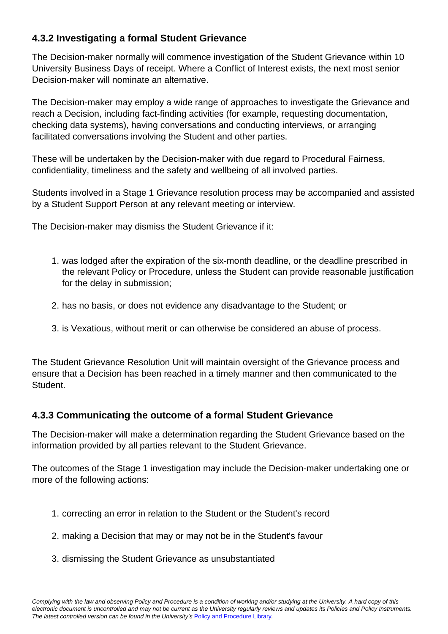# **4.3.2 Investigating a formal Student Grievance**

The Decision-maker normally will commence investigation of the Student Grievance within 10 University Business Days of receipt. Where a Conflict of Interest exists, the next most senior Decision-maker will nominate an alternative.

The Decision-maker may employ a wide range of approaches to investigate the Grievance and reach a Decision, including fact-finding activities (for example, requesting documentation, checking data systems), having conversations and conducting interviews, or arranging facilitated conversations involving the Student and other parties.

These will be undertaken by the Decision-maker with due regard to Procedural Fairness, confidentiality, timeliness and the safety and wellbeing of all involved parties.

Students involved in a Stage 1 Grievance resolution process may be accompanied and assisted by a Student Support Person at any relevant meeting or interview.

The Decision-maker may dismiss the Student Grievance if it:

- 1. was lodged after the expiration of the six-month deadline, or the deadline prescribed in the relevant Policy or Procedure, unless the Student can provide reasonable justification for the delay in submission;
- 2. has no basis, or does not evidence any disadvantage to the Student; or
- 3. is Vexatious, without merit or can otherwise be considered an abuse of process.

The Student Grievance Resolution Unit will maintain oversight of the Grievance process and ensure that a Decision has been reached in a timely manner and then communicated to the Student.

# **4.3.3 Communicating the outcome of a formal Student Grievance**

The Decision-maker will make a determination regarding the Student Grievance based on the information provided by all parties relevant to the Student Grievance.

The outcomes of the Stage 1 investigation may include the Decision-maker undertaking one or more of the following actions:

- 1. correcting an error in relation to the Student or the Student's record
- 2. making a Decision that may or may not be in the Student's favour
- 3. dismissing the Student Grievance as unsubstantiated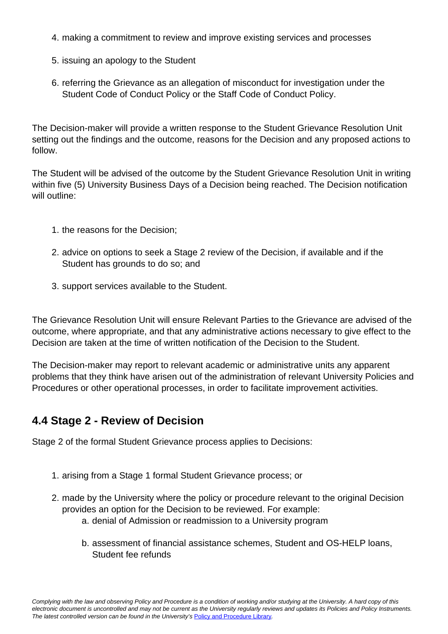- 4. making a commitment to review and improve existing services and processes
- 5. issuing an apology to the Student
- 6. referring the Grievance as an allegation of misconduct for investigation under the Student Code of Conduct Policy or the Staff Code of Conduct Policy.

The Decision-maker will provide a written response to the Student Grievance Resolution Unit setting out the findings and the outcome, reasons for the Decision and any proposed actions to follow.

The Student will be advised of the outcome by the Student Grievance Resolution Unit in writing within five (5) University Business Days of a Decision being reached. The Decision notification will outline:

- 1. the reasons for the Decision;
- 2. advice on options to seek a Stage 2 review of the Decision, if available and if the Student has grounds to do so; and
- 3. support services available to the Student.

The Grievance Resolution Unit will ensure Relevant Parties to the Grievance are advised of the outcome, where appropriate, and that any administrative actions necessary to give effect to the Decision are taken at the time of written notification of the Decision to the Student.

The Decision-maker may report to relevant academic or administrative units any apparent problems that they think have arisen out of the administration of relevant University Policies and Procedures or other operational processes, in order to facilitate improvement activities.

# **4.4 Stage 2 - Review of Decision**

Stage 2 of the formal Student Grievance process applies to Decisions:

- 1. arising from a Stage 1 formal Student Grievance process; or
- 2. made by the University where the policy or procedure relevant to the original Decision provides an option for the Decision to be reviewed. For example:
	- a. denial of Admission or readmission to a University program
	- b. assessment of financial assistance schemes, Student and OS-HELP loans, Student fee refunds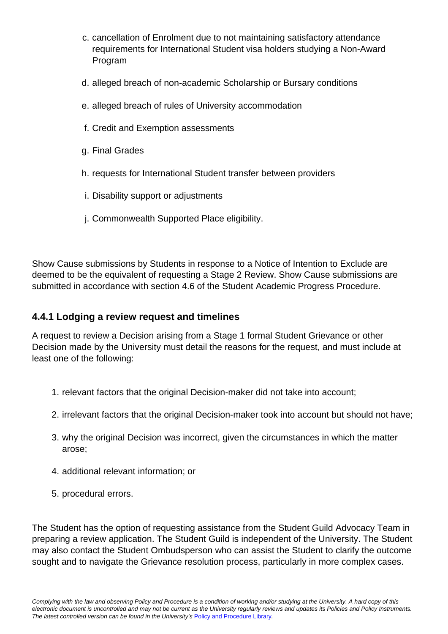- c. cancellation of Enrolment due to not maintaining satisfactory attendance requirements for International Student visa holders studying a Non-Award Program
- d. alleged breach of non-academic Scholarship or Bursary conditions
- e. alleged breach of rules of University accommodation
- f. Credit and Exemption assessments
- g. Final Grades
- h. requests for International Student transfer between providers
- i. Disability support or adjustments
- j. Commonwealth Supported Place eligibility.

Show Cause submissions by Students in response to a Notice of Intention to Exclude are deemed to be the equivalent of requesting a Stage 2 Review. Show Cause submissions are submitted in accordance with section 4.6 of the Student Academic Progress Procedure.

## **4.4.1 Lodging a review request and timelines**

A request to review a Decision arising from a Stage 1 formal Student Grievance or other Decision made by the University must detail the reasons for the request, and must include at least one of the following:

- 1. relevant factors that the original Decision-maker did not take into account;
- 2. irrelevant factors that the original Decision-maker took into account but should not have;
- 3. why the original Decision was incorrect, given the circumstances in which the matter arose;
- 4. additional relevant information; or
- 5. procedural errors.

The Student has the option of requesting assistance from the Student Guild Advocacy Team in preparing a review application. The Student Guild is independent of the University. The Student may also contact the Student Ombudsperson who can assist the Student to clarify the outcome sought and to navigate the Grievance resolution process, particularly in more complex cases.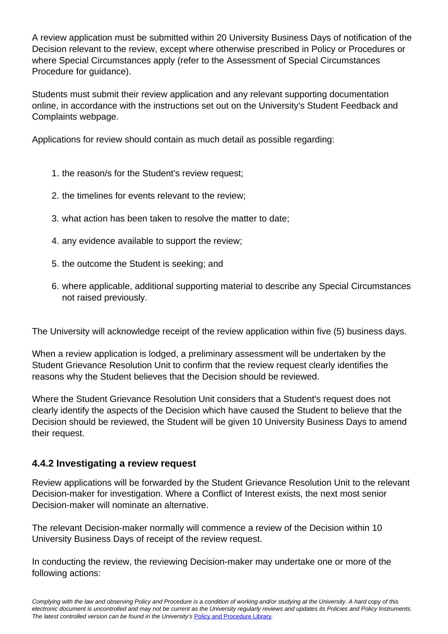A review application must be submitted within 20 University Business Days of notification of the Decision relevant to the review, except where otherwise prescribed in Policy or Procedures or where Special Circumstances apply (refer to the Assessment of Special Circumstances Procedure for guidance).

Students must submit their review application and any relevant supporting documentation online, in accordance with the instructions set out on the University's Student Feedback and Complaints webpage.

Applications for review should contain as much detail as possible regarding:

- 1. the reason/s for the Student's review request;
- 2. the timelines for events relevant to the review;
- 3. what action has been taken to resolve the matter to date;
- 4. any evidence available to support the review;
- 5. the outcome the Student is seeking; and
- 6. where applicable, additional supporting material to describe any Special Circumstances not raised previously.

The University will acknowledge receipt of the review application within five (5) business days.

When a review application is lodged, a preliminary assessment will be undertaken by the Student Grievance Resolution Unit to confirm that the review request clearly identifies the reasons why the Student believes that the Decision should be reviewed.

Where the Student Grievance Resolution Unit considers that a Student's request does not clearly identify the aspects of the Decision which have caused the Student to believe that the Decision should be reviewed, the Student will be given 10 University Business Days to amend their request.

## **4.4.2 Investigating a review request**

Review applications will be forwarded by the Student Grievance Resolution Unit to the relevant Decision-maker for investigation. Where a Conflict of Interest exists, the next most senior Decision-maker will nominate an alternative.

The relevant Decision-maker normally will commence a review of the Decision within 10 University Business Days of receipt of the review request.

In conducting the review, the reviewing Decision-maker may undertake one or more of the following actions: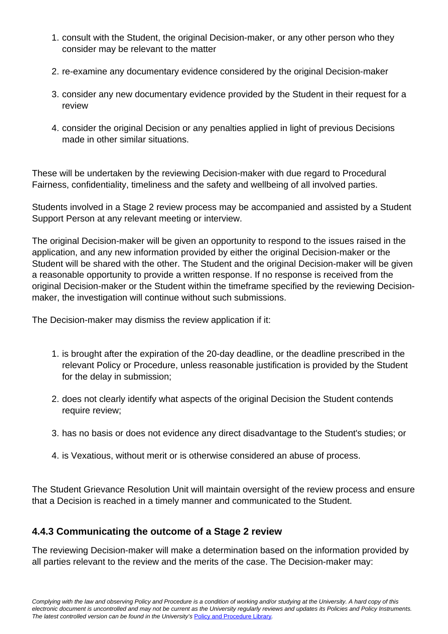- 1. consult with the Student, the original Decision-maker, or any other person who they consider may be relevant to the matter
- 2. re-examine any documentary evidence considered by the original Decision-maker
- 3. consider any new documentary evidence provided by the Student in their request for a review
- 4. consider the original Decision or any penalties applied in light of previous Decisions made in other similar situations.

These will be undertaken by the reviewing Decision-maker with due regard to Procedural Fairness, confidentiality, timeliness and the safety and wellbeing of all involved parties.

Students involved in a Stage 2 review process may be accompanied and assisted by a Student Support Person at any relevant meeting or interview.

The original Decision-maker will be given an opportunity to respond to the issues raised in the application, and any new information provided by either the original Decision-maker or the Student will be shared with the other. The Student and the original Decision-maker will be given a reasonable opportunity to provide a written response. If no response is received from the original Decision-maker or the Student within the timeframe specified by the reviewing Decisionmaker, the investigation will continue without such submissions.

The Decision-maker may dismiss the review application if it:

- 1. is brought after the expiration of the 20-day deadline, or the deadline prescribed in the relevant Policy or Procedure, unless reasonable justification is provided by the Student for the delay in submission;
- 2. does not clearly identify what aspects of the original Decision the Student contends require review;
- 3. has no basis or does not evidence any direct disadvantage to the Student's studies; or
- 4. is Vexatious, without merit or is otherwise considered an abuse of process.

The Student Grievance Resolution Unit will maintain oversight of the review process and ensure that a Decision is reached in a timely manner and communicated to the Student.

# **4.4.3 Communicating the outcome of a Stage 2 review**

The reviewing Decision-maker will make a determination based on the information provided by all parties relevant to the review and the merits of the case. The Decision-maker may: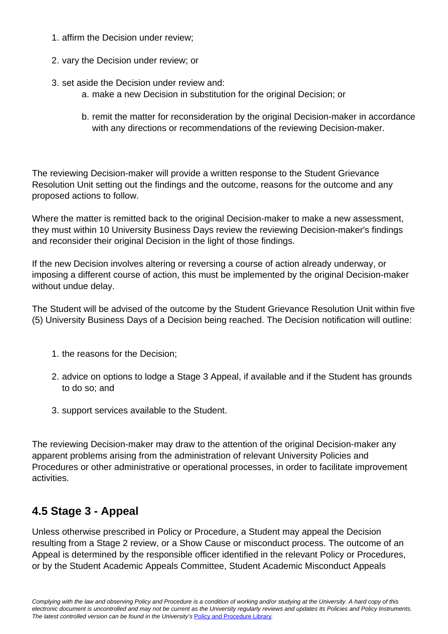- 1. affirm the Decision under review;
- 2. vary the Decision under review; or
- 3. set aside the Decision under review and:
	- a. make a new Decision in substitution for the original Decision; or
	- b. remit the matter for reconsideration by the original Decision-maker in accordance with any directions or recommendations of the reviewing Decision-maker.

The reviewing Decision-maker will provide a written response to the Student Grievance Resolution Unit setting out the findings and the outcome, reasons for the outcome and any proposed actions to follow.

Where the matter is remitted back to the original Decision-maker to make a new assessment, they must within 10 University Business Days review the reviewing Decision-maker's findings and reconsider their original Decision in the light of those findings.

If the new Decision involves altering or reversing a course of action already underway, or imposing a different course of action, this must be implemented by the original Decision-maker without undue delay.

The Student will be advised of the outcome by the Student Grievance Resolution Unit within five (5) University Business Days of a Decision being reached. The Decision notification will outline:

- 1. the reasons for the Decision;
- 2. advice on options to lodge a Stage 3 Appeal, if available and if the Student has grounds to do so; and
- 3. support services available to the Student.

The reviewing Decision-maker may draw to the attention of the original Decision-maker any apparent problems arising from the administration of relevant University Policies and Procedures or other administrative or operational processes, in order to facilitate improvement activities.

# **4.5 Stage 3 - Appeal**

Unless otherwise prescribed in Policy or Procedure, a Student may appeal the Decision resulting from a Stage 2 review, or a Show Cause or misconduct process. The outcome of an Appeal is determined by the responsible officer identified in the relevant Policy or Procedures, or by the Student Academic Appeals Committee, Student Academic Misconduct Appeals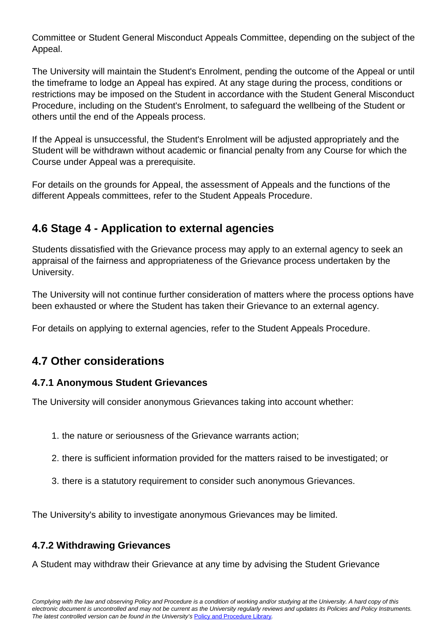Committee or Student General Misconduct Appeals Committee, depending on the subject of the Appeal.

The University will maintain the Student's Enrolment, pending the outcome of the Appeal or until the timeframe to lodge an Appeal has expired. At any stage during the process, conditions or restrictions may be imposed on the Student in accordance with the Student General Misconduct Procedure, including on the Student's Enrolment, to safeguard the wellbeing of the Student or others until the end of the Appeals process.

If the Appeal is unsuccessful, the Student's Enrolment will be adjusted appropriately and the Student will be withdrawn without academic or financial penalty from any Course for which the Course under Appeal was a prerequisite.

For details on the grounds for Appeal, the assessment of Appeals and the functions of the different Appeals committees, refer to the Student Appeals Procedure.

# **4.6 Stage 4 - Application to external agencies**

Students dissatisfied with the Grievance process may apply to an external agency to seek an appraisal of the fairness and appropriateness of the Grievance process undertaken by the University.

The University will not continue further consideration of matters where the process options have been exhausted or where the Student has taken their Grievance to an external agency.

For details on applying to external agencies, refer to the Student Appeals Procedure.

# **4.7 Other considerations**

# **4.7.1 Anonymous Student Grievances**

The University will consider anonymous Grievances taking into account whether:

- 1. the nature or seriousness of the Grievance warrants action;
- 2. there is sufficient information provided for the matters raised to be investigated; or
- 3. there is a statutory requirement to consider such anonymous Grievances.

The University's ability to investigate anonymous Grievances may be limited.

# **4.7.2 Withdrawing Grievances**

A Student may withdraw their Grievance at any time by advising the Student Grievance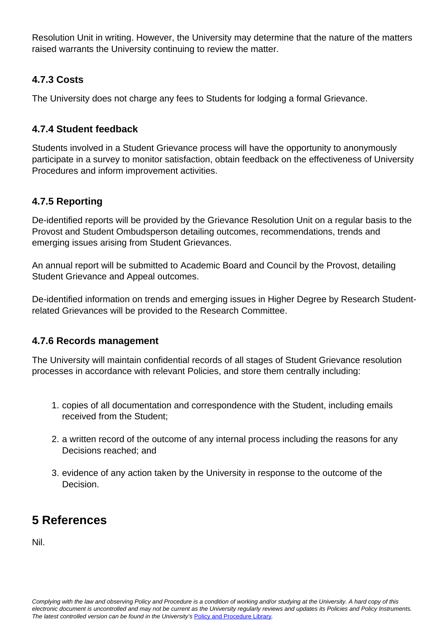Resolution Unit in writing. However, the University may determine that the nature of the matters raised warrants the University continuing to review the matter.

# **4.7.3 Costs**

The University does not charge any fees to Students for lodging a formal Grievance.

# **4.7.4 Student feedback**

Students involved in a Student Grievance process will have the opportunity to anonymously participate in a survey to monitor satisfaction, obtain feedback on the effectiveness of University Procedures and inform improvement activities.

# **4.7.5 Reporting**

De-identified reports will be provided by the Grievance Resolution Unit on a regular basis to the Provost and Student Ombudsperson detailing outcomes, recommendations, trends and emerging issues arising from Student Grievances.

An annual report will be submitted to Academic Board and Council by the Provost, detailing Student Grievance and Appeal outcomes.

De-identified information on trends and emerging issues in Higher Degree by Research Studentrelated Grievances will be provided to the Research Committee.

# **4.7.6 Records management**

The University will maintain confidential records of all stages of Student Grievance resolution processes in accordance with relevant Policies, and store them centrally including:

- 1. copies of all documentation and correspondence with the Student, including emails received from the Student;
- 2. a written record of the outcome of any internal process including the reasons for any Decisions reached; and
- 3. evidence of any action taken by the University in response to the outcome of the Decision.

# **5 References**

Nil.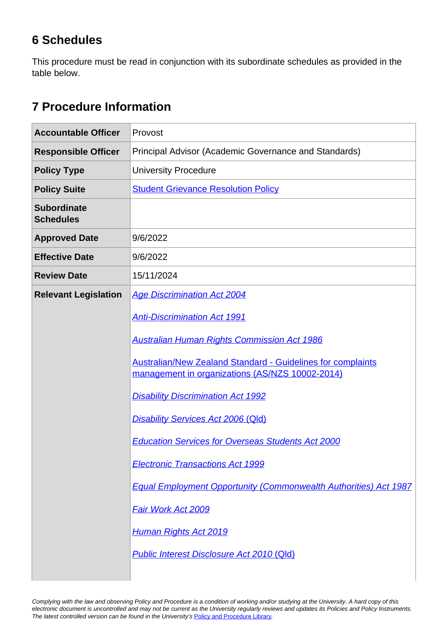# **6 Schedules**

This procedure must be read in conjunction with its subordinate schedules as provided in the table below.

# **7 Procedure Information**

| <b>Accountable Officer</b>             | Provost                                                                                                               |
|----------------------------------------|-----------------------------------------------------------------------------------------------------------------------|
| <b>Responsible Officer</b>             | Principal Advisor (Academic Governance and Standards)                                                                 |
| <b>Policy Type</b>                     | <b>University Procedure</b>                                                                                           |
| <b>Policy Suite</b>                    | <b>Student Grievance Resolution Policy</b>                                                                            |
| <b>Subordinate</b><br><b>Schedules</b> |                                                                                                                       |
| <b>Approved Date</b>                   | 9/6/2022                                                                                                              |
| <b>Effective Date</b>                  | 9/6/2022                                                                                                              |
| <b>Review Date</b>                     | 15/11/2024                                                                                                            |
| <b>Relevant Legislation</b>            | <b>Age Discrimination Act 2004</b>                                                                                    |
|                                        | <b>Anti-Discrimination Act 1991</b>                                                                                   |
|                                        | <b>Australian Human Rights Commission Act 1986</b>                                                                    |
|                                        | <b>Australian/New Zealand Standard - Guidelines for complaints</b><br>management in organizations (AS/NZS 10002-2014) |
|                                        | <b>Disability Discrimination Act 1992</b>                                                                             |
|                                        | <b>Disability Services Act 2006 (Qld)</b>                                                                             |
|                                        | <b>Education Services for Overseas Students Act 2000</b>                                                              |
|                                        | <b>Electronic Transactions Act 1999</b>                                                                               |
|                                        | <b>Equal Employment Opportunity (Commonwealth Authorities) Act 1987</b>                                               |
|                                        | <b>Fair Work Act 2009</b>                                                                                             |
|                                        | <b>Human Rights Act 2019</b>                                                                                          |
|                                        | <b>Public Interest Disclosure Act 2010 (Qld)</b>                                                                      |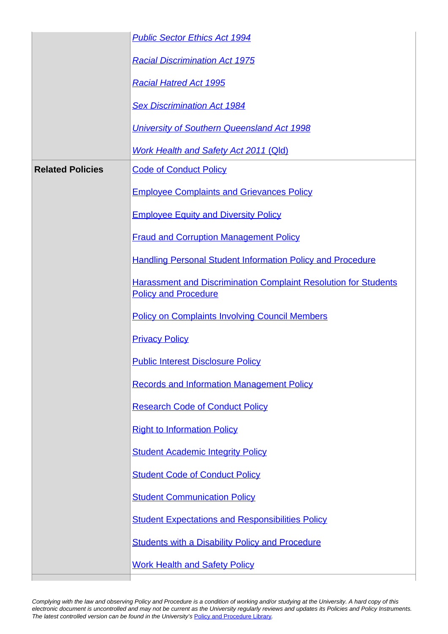|                         | <b>Public Sector Ethics Act 1994</b>                                                                  |
|-------------------------|-------------------------------------------------------------------------------------------------------|
|                         | <b>Racial Discrimination Act 1975</b>                                                                 |
|                         | <b>Racial Hatred Act 1995</b>                                                                         |
|                         | <b>Sex Discrimination Act 1984</b>                                                                    |
|                         | University of Southern Queensland Act 1998                                                            |
|                         | <b>Work Health and Safety Act 2011 (Qld)</b>                                                          |
| <b>Related Policies</b> | <b>Code of Conduct Policy</b>                                                                         |
|                         | <b>Employee Complaints and Grievances Policy</b>                                                      |
|                         | <b>Employee Equity and Diversity Policy</b>                                                           |
|                         | <b>Fraud and Corruption Management Policy</b>                                                         |
|                         | <b>Handling Personal Student Information Policy and Procedure</b>                                     |
|                         | <b>Harassment and Discrimination Complaint Resolution for Students</b><br><b>Policy and Procedure</b> |
|                         | <b>Policy on Complaints Involving Council Members</b>                                                 |
|                         | <b>Privacy Policy</b>                                                                                 |
|                         | <b>Public Interest Disclosure Policy</b>                                                              |
|                         | <b>Records and Information Management Policy</b>                                                      |
|                         | <b>Research Code of Conduct Policy</b>                                                                |
|                         | <b>Right to Information Policy</b>                                                                    |
|                         | <b>Student Academic Integrity Policy</b>                                                              |
|                         | <b>Student Code of Conduct Policy</b>                                                                 |
|                         | <b>Student Communication Policy</b>                                                                   |
|                         | <b>Student Expectations and Responsibilities Policy</b>                                               |
|                         | <b>Students with a Disability Policy and Procedure</b>                                                |
|                         | <b>Work Health and Safety Policy</b>                                                                  |
|                         |                                                                                                       |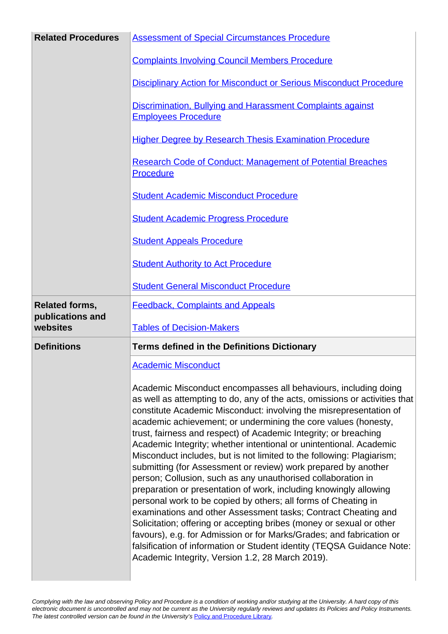| <b>Related Procedures</b>                             | <b>Assessment of Special Circumstances Procedure</b>                                                                                                                                                                                                                                                                                                                                                                                                                                                                                                                                                                                                                                                                                                                                                                                                                                                                                                                                                |
|-------------------------------------------------------|-----------------------------------------------------------------------------------------------------------------------------------------------------------------------------------------------------------------------------------------------------------------------------------------------------------------------------------------------------------------------------------------------------------------------------------------------------------------------------------------------------------------------------------------------------------------------------------------------------------------------------------------------------------------------------------------------------------------------------------------------------------------------------------------------------------------------------------------------------------------------------------------------------------------------------------------------------------------------------------------------------|
|                                                       | <b>Complaints Involving Council Members Procedure</b>                                                                                                                                                                                                                                                                                                                                                                                                                                                                                                                                                                                                                                                                                                                                                                                                                                                                                                                                               |
|                                                       | <b>Disciplinary Action for Misconduct or Serious Misconduct Procedure</b>                                                                                                                                                                                                                                                                                                                                                                                                                                                                                                                                                                                                                                                                                                                                                                                                                                                                                                                           |
|                                                       | Discrimination, Bullying and Harassment Complaints against<br><b>Employees Procedure</b>                                                                                                                                                                                                                                                                                                                                                                                                                                                                                                                                                                                                                                                                                                                                                                                                                                                                                                            |
|                                                       | <b>Higher Degree by Research Thesis Examination Procedure</b>                                                                                                                                                                                                                                                                                                                                                                                                                                                                                                                                                                                                                                                                                                                                                                                                                                                                                                                                       |
|                                                       | <b>Research Code of Conduct: Management of Potential Breaches</b><br>Procedure                                                                                                                                                                                                                                                                                                                                                                                                                                                                                                                                                                                                                                                                                                                                                                                                                                                                                                                      |
|                                                       | <b>Student Academic Misconduct Procedure</b>                                                                                                                                                                                                                                                                                                                                                                                                                                                                                                                                                                                                                                                                                                                                                                                                                                                                                                                                                        |
|                                                       | <b>Student Academic Progress Procedure</b>                                                                                                                                                                                                                                                                                                                                                                                                                                                                                                                                                                                                                                                                                                                                                                                                                                                                                                                                                          |
|                                                       | <b>Student Appeals Procedure</b>                                                                                                                                                                                                                                                                                                                                                                                                                                                                                                                                                                                                                                                                                                                                                                                                                                                                                                                                                                    |
|                                                       | <b>Student Authority to Act Procedure</b>                                                                                                                                                                                                                                                                                                                                                                                                                                                                                                                                                                                                                                                                                                                                                                                                                                                                                                                                                           |
|                                                       | <b>Student General Misconduct Procedure</b>                                                                                                                                                                                                                                                                                                                                                                                                                                                                                                                                                                                                                                                                                                                                                                                                                                                                                                                                                         |
| <b>Related forms,</b><br>publications and<br>websites | <b>Feedback, Complaints and Appeals</b>                                                                                                                                                                                                                                                                                                                                                                                                                                                                                                                                                                                                                                                                                                                                                                                                                                                                                                                                                             |
|                                                       | <b>Tables of Decision-Makers</b>                                                                                                                                                                                                                                                                                                                                                                                                                                                                                                                                                                                                                                                                                                                                                                                                                                                                                                                                                                    |
| <b>Definitions</b>                                    | <b>Terms defined in the Definitions Dictionary</b>                                                                                                                                                                                                                                                                                                                                                                                                                                                                                                                                                                                                                                                                                                                                                                                                                                                                                                                                                  |
|                                                       | <b>Academic Misconduct</b>                                                                                                                                                                                                                                                                                                                                                                                                                                                                                                                                                                                                                                                                                                                                                                                                                                                                                                                                                                          |
|                                                       | Academic Misconduct encompasses all behaviours, including doing<br>as well as attempting to do, any of the acts, omissions or activities that<br>constitute Academic Misconduct: involving the misrepresentation of<br>academic achievement; or undermining the core values (honesty,<br>trust, fairness and respect) of Academic Integrity; or breaching<br>Academic Integrity; whether intentional or unintentional. Academic<br>Misconduct includes, but is not limited to the following: Plagiarism;<br>submitting (for Assessment or review) work prepared by another<br>person; Collusion, such as any unauthorised collaboration in<br>preparation or presentation of work, including knowingly allowing<br>personal work to be copied by others; all forms of Cheating in<br>examinations and other Assessment tasks; Contract Cheating and<br>Solicitation; offering or accepting bribes (money or sexual or other<br>favours), e.g. for Admission or for Marks/Grades; and fabrication or |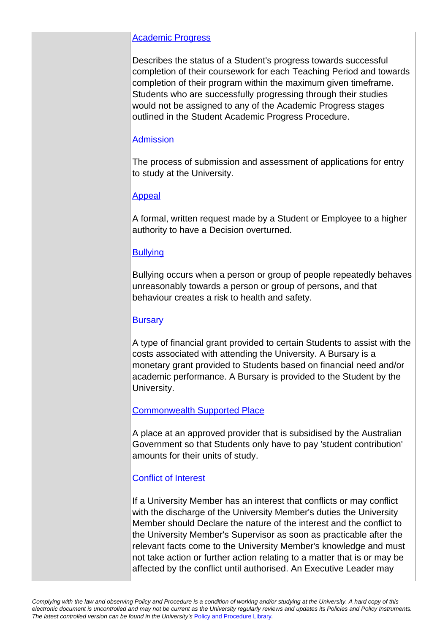### [Academic Progress](https://policy.usq.edu.au/documents/21639PL)

Describes the status of a Student's progress towards successful completion of their coursework for each Teaching Period and towards completion of their program within the maximum given timeframe. Students who are successfully progressing through their studies would not be assigned to any of the Academic Progress stages outlined in the Student Academic Progress Procedure.

## [Admission](https://policy.usq.edu.au/documents/14140PL)

The process of submission and assessment of applications for entry to study at the University.

## [Appeal](https://policy.usq.edu.au/documents/15406PL)

A formal, written request made by a Student or Employee to a higher authority to have a Decision overturned.

## **[Bullying](https://policy.usq.edu.au/documents/151986PL)**

Bullying occurs when a person or group of people repeatedly behaves unreasonably towards a person or group of persons, and that behaviour creates a risk to health and safety.

## **[Bursary](https://policy.usq.edu.au/documents/142402PL)**

A type of financial grant provided to certain Students to assist with the costs associated with attending the University. A Bursary is a monetary grant provided to Students based on financial need and/or academic performance. A Bursary is provided to the Student by the University.

## [Commonwealth Supported Place](https://policy.usq.edu.au/documents/14168PL)

A place at an approved provider that is subsidised by the Australian Government so that Students only have to pay 'student contribution' amounts for their units of study.

## [Conflict of Interest](https://policy.usq.edu.au/documents/161063PL)

If a University Member has an interest that conflicts or may conflict with the discharge of the University Member's duties the University Member should Declare the nature of the interest and the conflict to the University Member's Supervisor as soon as practicable after the relevant facts come to the University Member's knowledge and must not take action or further action relating to a matter that is or may be affected by the conflict until authorised. An Executive Leader may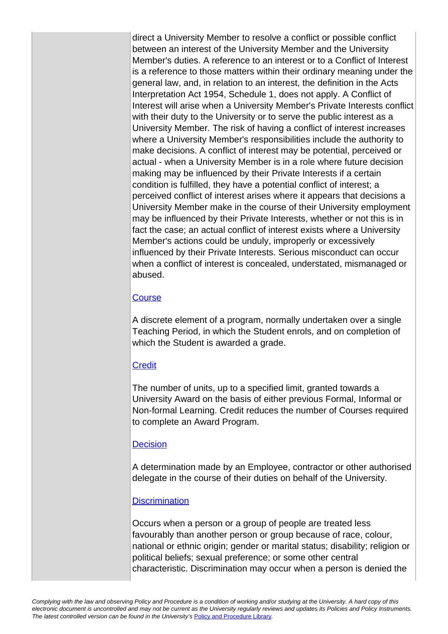direct a University Member to resolve a conflict or possible conflict between an interest of the University Member and the University Member's duties. A reference to an interest or to a Conflict of Interest is a reference to those matters within their ordinary meaning under the general law, and, in relation to an interest, the definition in the Acts Interpretation Act 1954, Schedule 1, does not apply. A Conflict of Interest will arise when a University Member's Private Interests conflict with their duty to the University or to serve the public interest as a University Member. The risk of having a conflict of interest increases where a University Member's responsibilities include the authority to make decisions. A conflict of interest may be potential, perceived or actual - when a University Member is in a role where future decision making may be influenced by their Private Interests if a certain condition is fulfilled, they have a potential conflict of interest; a perceived conflict of interest arises where it appears that decisions a University Member make in the course of their University employment may be influenced by their Private Interests, whether or not this is in fact the case; an actual conflict of interest exists where a University Member's actions could be unduly, improperly or excessively influenced by their Private Interests. Serious misconduct can occur when a conflict of interest is concealed, understated, mismanaged or abused.

### **[Course](https://policy.usq.edu.au/documents/14176PL)**

A discrete element of a program, normally undertaken over a single Teaching Period, in which the Student enrols, and on completion of which the Student is awarded a grade.

#### **[Credit](https://policy.usq.edu.au/documents/14797PL)**

The number of units, up to a specified limit, granted towards a University Award on the basis of either previous Formal, Informal or Non-formal Learning. Credit reduces the number of Courses required to complete an Award Program.

#### **[Decision](https://policy.usq.edu.au/documents/15407PL)**

A determination made by an Employee, contractor or other authorised delegate in the course of their duties on behalf of the University.

#### **[Discrimination](https://policy.usq.edu.au/documents/153708PL)**

Occurs when a person or a group of people are treated less favourably than another person or group because of race, colour, national or ethnic origin; gender or marital status; disability; religion or political beliefs; sexual preference; or some other central characteristic. Discrimination may occur when a person is denied the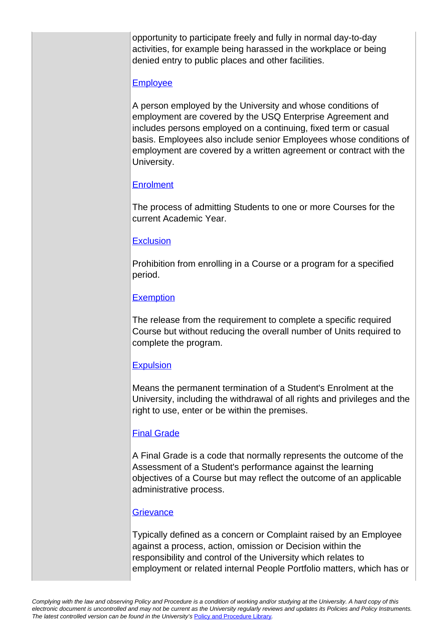opportunity to participate freely and fully in normal day-to-day activities, for example being harassed in the workplace or being denied entry to public places and other facilities.

#### **[Employee](https://policy.usq.edu.au/documents/14206PL)**

A person employed by the University and whose conditions of employment are covered by the USQ Enterprise Agreement and includes persons employed on a continuing, fixed term or casual basis. Employees also include senior Employees whose conditions of employment are covered by a written agreement or contract with the University.

### **[Enrolment](https://policy.usq.edu.au/documents/14209PL)**

The process of admitting Students to one or more Courses for the current Academic Year.

#### **[Exclusion](https://policy.usq.edu.au/documents/14215PL)**

Prohibition from enrolling in a Course or a program for a specified period.

## **[Exemption](https://policy.usq.edu.au/documents/14216PL)**

The release from the requirement to complete a specific required Course but without reducing the overall number of Units required to complete the program.

## **[Expulsion](https://policy.usq.edu.au/documents/21717PL)**

Means the permanent termination of a Student's Enrolment at the University, including the withdrawal of all rights and privileges and the right to use, enter or be within the premises.

## [Final Grade](https://policy.usq.edu.au/documents/14223PL)

A Final Grade is a code that normally represents the outcome of the Assessment of a Student's performance against the learning objectives of a Course but may reflect the outcome of an applicable administrative process.

#### **[Grievance](https://policy.usq.edu.au/documents/153709PL)**

Typically defined as a concern or Complaint raised by an Employee against a process, action, omission or Decision within the responsibility and control of the University which relates to employment or related internal People Portfolio matters, which has or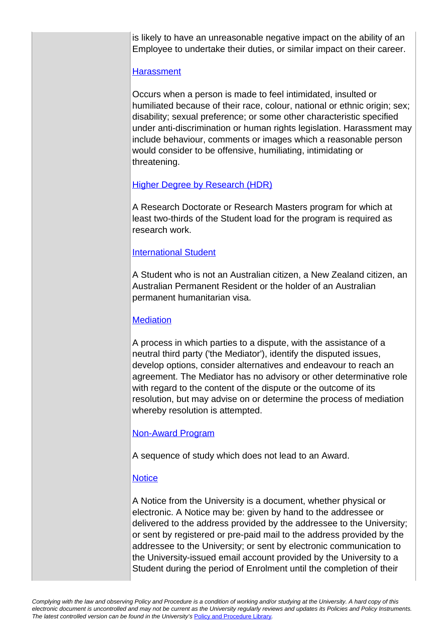is likely to have an unreasonable negative impact on the ability of an Employee to undertake their duties, or similar impact on their career.

#### **[Harassment](https://policy.usq.edu.au/documents/153716PL)**

Occurs when a person is made to feel intimidated, insulted or humiliated because of their race, colour, national or ethnic origin; sex; disability; sexual preference; or some other characteristic specified under anti-discrimination or human rights legislation. Harassment may include behaviour, comments or images which a reasonable person would consider to be offensive, humiliating, intimidating or threatening.

### [Higher Degree by Research \(HDR\)](https://policy.usq.edu.au/documents/14799PL)

A Research Doctorate or Research Masters program for which at least two-thirds of the Student load for the program is required as research work.

#### [International Student](https://policy.usq.edu.au/documents/14242PL)

A Student who is not an Australian citizen, a New Zealand citizen, an Australian Permanent Resident or the holder of an Australian permanent humanitarian visa.

### **[Mediation](https://policy.usq.edu.au/documents/151866PL)**

A process in which parties to a dispute, with the assistance of a neutral third party ('the Mediator'), identify the disputed issues, develop options, consider alternatives and endeavour to reach an agreement. The Mediator has no advisory or other determinative role with regard to the content of the dispute or the outcome of its resolution, but may advise on or determine the process of mediation whereby resolution is attempted.

#### [Non-Award Program](https://policy.usq.edu.au/documents/14255PL)

A sequence of study which does not lead to an Award.

#### **[Notice](https://policy.usq.edu.au/documents/14916PL)**

A Notice from the University is a document, whether physical or electronic. A Notice may be: given by hand to the addressee or delivered to the address provided by the addressee to the University; or sent by registered or pre-paid mail to the address provided by the addressee to the University; or sent by electronic communication to the University-issued email account provided by the University to a Student during the period of Enrolment until the completion of their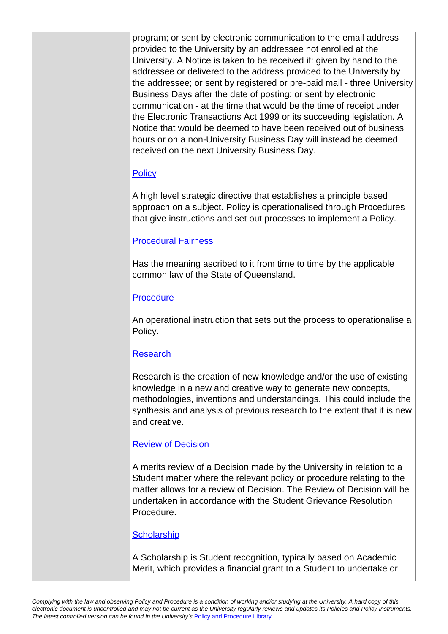program; or sent by electronic communication to the email address provided to the University by an addressee not enrolled at the University. A Notice is taken to be received if: given by hand to the addressee or delivered to the address provided to the University by the addressee; or sent by registered or pre-paid mail - three University Business Days after the date of posting; or sent by electronic communication - at the time that would be the time of receipt under the Electronic Transactions Act 1999 or its succeeding legislation. A Notice that would be deemed to have been received out of business hours or on a non-University Business Day will instead be deemed received on the next University Business Day.

#### **[Policy](https://policy.usq.edu.au/documents/14266PL)**

A high level strategic directive that establishes a principle based approach on a subject. Policy is operationalised through Procedures that give instructions and set out processes to implement a Policy.

### [Procedural Fairness](https://policy.usq.edu.au/documents/19897PL)

Has the meaning ascribed to it from time to time by the applicable common law of the State of Queensland.

### **[Procedure](https://policy.usq.edu.au/documents/14274PL)**

An operational instruction that sets out the process to operationalise a Policy.

## [Research](https://policy.usq.edu.au/documents/20200PL)

Research is the creation of new knowledge and/or the use of existing knowledge in a new and creative way to generate new concepts, methodologies, inventions and understandings. This could include the synthesis and analysis of previous research to the extent that it is new and creative.

## [Review of Decision](https://policy.usq.edu.au/documents/151868PL)

A merits review of a Decision made by the University in relation to a Student matter where the relevant policy or procedure relating to the matter allows for a review of Decision. The Review of Decision will be undertaken in accordance with the Student Grievance Resolution Procedure.

#### **[Scholarship](https://policy.usq.edu.au/documents/142406PL)**

A Scholarship is Student recognition, typically based on Academic Merit, which provides a financial grant to a Student to undertake or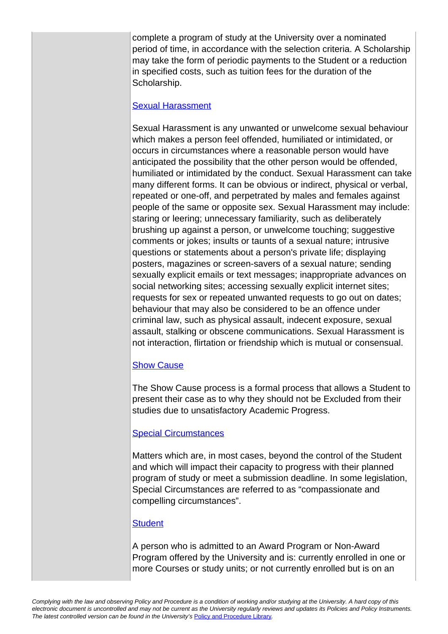complete a program of study at the University over a nominated period of time, in accordance with the selection criteria. A Scholarship may take the form of periodic payments to the Student or a reduction in specified costs, such as tuition fees for the duration of the Scholarship.

#### [Sexual Harassment](https://policy.usq.edu.au/documents/153715PL)

Sexual Harassment is any unwanted or unwelcome sexual behaviour which makes a person feel offended, humiliated or intimidated, or occurs in circumstances where a reasonable person would have anticipated the possibility that the other person would be offended, humiliated or intimidated by the conduct. Sexual Harassment can take many different forms. It can be obvious or indirect, physical or verbal, repeated or one-off, and perpetrated by males and females against people of the same or opposite sex. Sexual Harassment may include: staring or leering; unnecessary familiarity, such as deliberately brushing up against a person, or unwelcome touching; suggestive comments or jokes; insults or taunts of a sexual nature; intrusive questions or statements about a person's private life; displaying posters, magazines or screen-savers of a sexual nature; sending sexually explicit emails or text messages; inappropriate advances on social networking sites; accessing sexually explicit internet sites; requests for sex or repeated unwanted requests to go out on dates; behaviour that may also be considered to be an offence under criminal law, such as physical assault, indecent exposure, sexual assault, stalking or obscene communications. Sexual Harassment is not interaction, flirtation or friendship which is mutual or consensual.

#### [Show Cause](https://policy.usq.edu.au/documents/21641PL)

The Show Cause process is a formal process that allows a Student to present their case as to why they should not be Excluded from their studies due to unsatisfactory Academic Progress.

#### [Special Circumstances](https://policy.usq.edu.au/documents/14170PL)

Matters which are, in most cases, beyond the control of the Student and which will impact their capacity to progress with their planned program of study or meet a submission deadline. In some legislation, Special Circumstances are referred to as "compassionate and compelling circumstances".

#### **[Student](https://policy.usq.edu.au/documents/14294PL)**

A person who is admitted to an Award Program or Non-Award Program offered by the University and is: currently enrolled in one or more Courses or study units; or not currently enrolled but is on an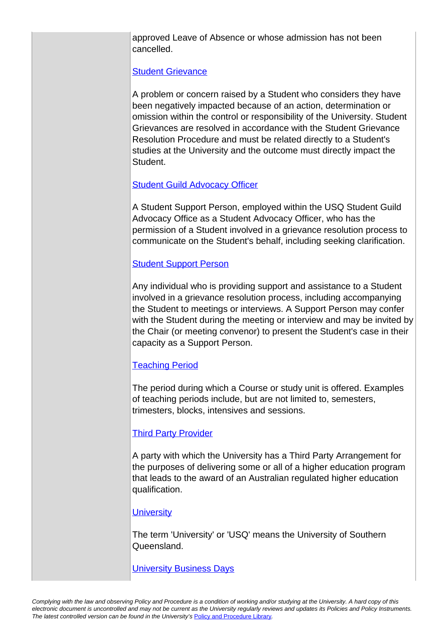approved Leave of Absence or whose admission has not been cancelled.

### [Student Grievance](https://policy.usq.edu.au/documents/21714PL)

A problem or concern raised by a Student who considers they have been negatively impacted because of an action, determination or omission within the control or responsibility of the University. Student Grievances are resolved in accordance with the Student Grievance Resolution Procedure and must be related directly to a Student's studies at the University and the outcome must directly impact the **Student** 

### **[Student Guild Advocacy Officer](https://policy.usq.edu.au/documents/21772PL)**

A Student Support Person, employed within the USQ Student Guild Advocacy Office as a Student Advocacy Officer, who has the permission of a Student involved in a grievance resolution process to communicate on the Student's behalf, including seeking clarification.

### [Student Support Person](https://policy.usq.edu.au/documents/151863PL)

Any individual who is providing support and assistance to a Student involved in a grievance resolution process, including accompanying the Student to meetings or interviews. A Support Person may confer with the Student during the meeting or interview and may be invited by the Chair (or meeting convenor) to present the Student's case in their capacity as a Support Person.

## **[Teaching Period](https://policy.usq.edu.au/documents/14301PL)**

The period during which a Course or study unit is offered. Examples of teaching periods include, but are not limited to, semesters, trimesters, blocks, intensives and sessions.

#### **[Third Party Provider](https://policy.usq.edu.au/documents/2158PL)**

A party with which the University has a Third Party Arrangement for the purposes of delivering some or all of a higher education program that leads to the award of an Australian regulated higher education qualification.

#### **[University](https://policy.usq.edu.au/documents/14313PL)**

The term 'University' or 'USQ' means the University of Southern Queensland.

**[University Business Days](https://policy.usq.edu.au/documents/14315PL)**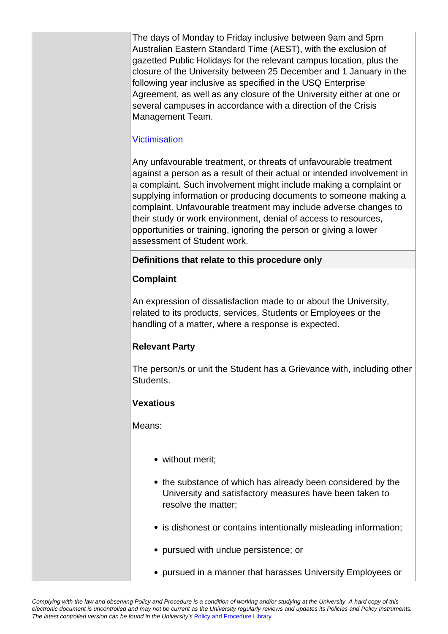The days of Monday to Friday inclusive between 9am and 5pm Australian Eastern Standard Time (AEST), with the exclusion of gazetted Public Holidays for the relevant campus location, plus the closure of the University between 25 December and 1 January in the following year inclusive as specified in the USQ Enterprise Agreement, as well as any closure of the University either at one or several campuses in accordance with a direction of the Crisis Management Team.

## **[Victimisation](https://policy.usq.edu.au/documents/153712PL)**

Any unfavourable treatment, or threats of unfavourable treatment against a person as a result of their actual or intended involvement in a complaint. Such involvement might include making a complaint or supplying information or producing documents to someone making a complaint. Unfavourable treatment may include adverse changes to their study or work environment, denial of access to resources, opportunities or training, ignoring the person or giving a lower assessment of Student work.

## **Definitions that relate to this procedure only**

## **Complaint**

An expression of dissatisfaction made to or about the University, related to its products, services, Students or Employees or the handling of a matter, where a response is expected.

# **Relevant Party**

The person/s or unit the Student has a Grievance with, including other Students.

# **Vexatious**

Means:

- without merit;
- the substance of which has already been considered by the University and satisfactory measures have been taken to resolve the matter;
- is dishonest or contains intentionally misleading information;
- pursued with undue persistence; or
- pursued in a manner that harasses University Employees or